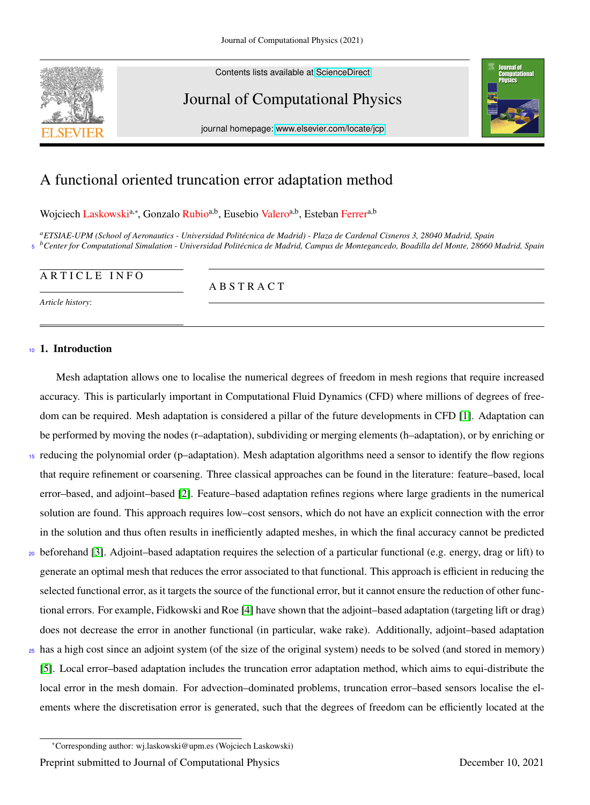

Contents lists available at [ScienceDirect](http://www.sciencedirect.com)

# Journal of Computational Physics



journal homepage: [www.elsevier.com/locate/jcp](http://www.elsevier.com/locate/jcp)

# A functional oriented truncation error adaptation method

Wojciech Laskowski<sup>a,∗</sup>, Gonzalo Rubio<sup>a,b</sup>, Eusebio Valero<sup>a,b</sup>, Esteban Ferrer<sup>a,b</sup>

*<sup>a</sup>ETSIAE-UPM (School of Aeronautics - Universidad Polit´ecnica de Madrid) - Plaza de Cardenal Cisneros 3, 28040 Madrid, Spain*  $s$  <sup>b</sup>Center for Computational Simulation - Universidad Politécnica de Madrid, Campus de Montegancedo, Boadilla del Monte, 28660 Madrid, Spain

# ARTICLE INFO

A B S T R A C T

*Article history*:

# <sup>10</sup> 1. Introduction

Mesh adaptation allows one to localise the numerical degrees of freedom in mesh regions that require increased accuracy. This is particularly important in Computational Fluid Dynamics (CFD) where millions of degrees of freedom can be required. Mesh adaptation is considered a pillar of the future developments in CFD [\[1\]](#page-7-0). Adaptation can be performed by moving the nodes (r–adaptation), subdividing or merging elements (h–adaptation), or by enriching or

- <sup>15</sup> reducing the polynomial order (p–adaptation). Mesh adaptation algorithms need a sensor to identify the flow regions that require refinement or coarsening. Three classical approaches can be found in the literature: feature–based, local error–based, and adjoint–based [\[2\]](#page-7-1). Feature–based adaptation refines regions where large gradients in the numerical solution are found. This approach requires low–cost sensors, which do not have an explicit connection with the error in the solution and thus often results in inefficiently adapted meshes, in which the final accuracy cannot be predicted
- <sup>20</sup> beforehand [\[3\]](#page-7-2). Adjoint–based adaptation requires the selection of a particular functional (e.g. energy, drag or lift) to generate an optimal mesh that reduces the error associated to that functional. This approach is efficient in reducing the selected functional error, as it targets the source of the functional error, but it cannot ensure the reduction of other functional errors. For example, Fidkowski and Roe [\[4\]](#page-7-3) have shown that the adjoint–based adaptation (targeting lift or drag) does not decrease the error in another functional (in particular, wake rake). Additionally, adjoint–based adaptation
- <sup>25</sup> has a high cost since an adjoint system (of the size of the original system) needs to be solved (and stored in memory) [\[5\]](#page-7-4). Local error–based adaptation includes the truncation error adaptation method, which aims to equi-distribute the local error in the mesh domain. For advection–dominated problems, truncation error–based sensors localise the elements where the discretisation error is generated, such that the degrees of freedom can be efficiently located at the

<sup>∗</sup>Corresponding author: wj.laskowski@upm.es (Wojciech Laskowski) Preprint submitted to Journal of Computational Physics December 10, 2021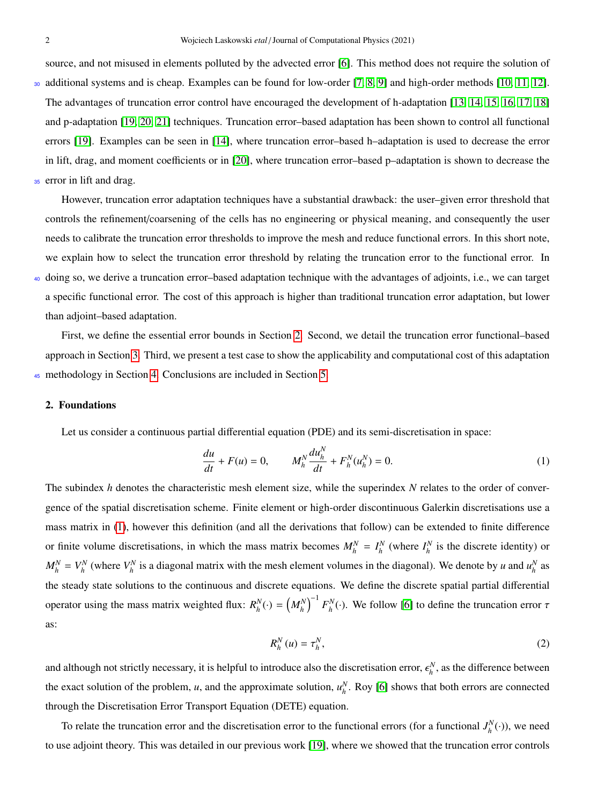source, and not misused in elements polluted by the advected error [\[6\]](#page-7-5). This method does not require the solution of

- <sup>30</sup> additional systems and is cheap. Examples can be found for low-order [\[7,](#page-7-6) [8,](#page-7-7) [9\]](#page-7-8) and high-order methods [\[10,](#page-7-9) [11,](#page-7-10) [12\]](#page-7-11). The advantages of truncation error control have encouraged the development of h-adaptation [\[13,](#page-7-12) [14,](#page-7-13) [15,](#page-7-14) [16,](#page-7-15) [17,](#page-7-16) [18\]](#page-7-17) and p-adaptation [\[19,](#page-7-18) [20,](#page-7-19) [21\]](#page-7-20) techniques. Truncation error–based adaptation has been shown to control all functional errors [\[19\]](#page-7-18). Examples can be seen in [\[14\]](#page-7-13), where truncation error–based h–adaptation is used to decrease the error in lift, drag, and moment coefficients or in [\[20\]](#page-7-19), where truncation error–based p–adaptation is shown to decrease the 35 error in lift and drag.
- 

However, truncation error adaptation techniques have a substantial drawback: the user–given error threshold that controls the refinement/coarsening of the cells has no engineering or physical meaning, and consequently the user needs to calibrate the truncation error thresholds to improve the mesh and reduce functional errors. In this short note, we explain how to select the truncation error threshold by relating the truncation error to the functional error. In <sup>40</sup> doing so, we derive a truncation error–based adaptation technique with the advantages of adjoints, i.e., we can target

a specific functional error. The cost of this approach is higher than traditional truncation error adaptation, but lower than adjoint–based adaptation.

First, we define the essential error bounds in Section [2.](#page-1-0) Second, we detail the truncation error functional–based approach in Section [3.](#page-2-0) Third, we present a test case to show the applicability and computational cost of this adaptation <sup>45</sup> methodology in Section [4.](#page-2-1) Conclusions are included in Section [5.](#page-6-0)

## <span id="page-1-0"></span>2. Foundations

Let us consider a continuous partial differential equation (PDE) and its semi-discretisation in space:

<span id="page-1-1"></span>
$$
\frac{du}{dt} + F(u) = 0, \qquad M_h^N \frac{du_h^N}{dt} + F_h^N(u_h^N) = 0.
$$
 (1)

The subindex *h* denotes the characteristic mesh element size, while the superindex *N* relates to the order of convergence of the spatial discretisation scheme. Finite element or high-order discontinuous Galerkin discretisations use a mass matrix in [\(1\)](#page-1-1), however this definition (and all the derivations that follow) can be extended to finite difference or finite volume discretisations, in which the mass matrix becomes  $M_h^N = I_h^N$  (where  $I_h^N$  is the discrete identity) or  $M_h^N = V_h^N$  (where  $V_h^N$  is a diagonal matrix with the mesh element volumes in the diagonal). We denote by *u* and  $u_h^N$  as the steady state solutions to the continuous and discrete equations. We define the discrete spatial partial differential operator using the mass matrix weighted flux:  $R_h^N(\cdot) = (M_h^N)^{-1} F_h^N(\cdot)$ . We follow [\[6\]](#page-7-5) to define the truncation error  $\tau$ as:

<span id="page-1-2"></span>
$$
R_h^N(u) = \tau_h^N, \tag{2}
$$

and although not strictly necessary, it is helpful to introduce also the discretisation error,  $\epsilon_h^N$ , as the difference between the exact solution of the problem, *u*, and the approximate solution,  $u_h^N$ . Roy [\[6\]](#page-7-5) shows that both errors are connected through the Discretisation Error Transport Equation (DETE) equation.

To relate the truncation error and the discretisation error to the functional errors (for a functional  $J_h^N(\cdot)$ ), we need to use adjoint theory. This was detailed in our previous work [\[19\]](#page-7-18), where we showed that the truncation error controls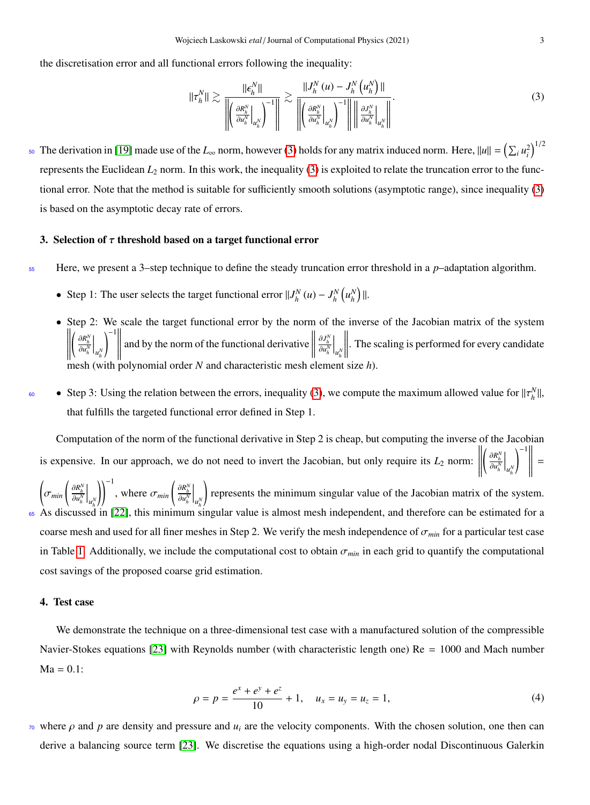the discretisation error and all functional errors following the inequality:

<span id="page-2-2"></span>
$$
\|\tau_h^N\| \gtrsim \frac{\|\epsilon_h^N\|}{\left\|\left(\frac{\partial \kappa_h^N}{\partial u_h^N}\Big|_{u_h^N}\right)^{-1}\right\|} \gtrsim \frac{\|J_h^N(u) - J_h^N\left(u_h^N\right)\|}{\left\|\left(\frac{\partial \kappa_h^N}{\partial u_h^N}\Big|_{u_h^N}\right)^{-1}\right\| \left\|\frac{\partial J_h^N}{\partial u_h^N}\Big|_{u_h^N}\right\|}.
$$
\n(3)

<sup>50</sup> The derivation in [\[19\]](#page-7-18) made use of the *L*<sub>∞</sub> norm, however [\(3\)](#page-2-2) holds for any matrix induced norm. Here,  $||u|| = (\sum_i u_i^2)^{1/2}$ represents the Euclidean *L*<sup>2</sup> norm. In this work, the inequality [\(3\)](#page-2-2) is exploited to relate the truncation error to the functional error. Note that the method is suitable for sufficiently smooth solutions (asymptotic range), since inequality [\(3\)](#page-2-2) is based on the asymptotic decay rate of errors.

# <span id="page-2-0"></span>3. Selection of  $\tau$  threshold based on a target functional error

- <sup>55</sup> Here, we present a 3–step technique to define the steady truncation error threshold in a *p*–adaptation algorithm.
	- Step 1: The user selects the target functional error  $||J_h^N(u) J_h^N(u_h^N)||$ .
	- Step 2: We scale the target functional error by the norm of the inverse of the Jacobian matrix of the system  $\left\| \left( \frac{\partial R_h^N}{\partial u_h^N} \Big|_{u_h^N} \right)^{-1} \right\|$  and by the norm of the functional derivative  $\left\| \frac{\partial I_h^N}{\partial u_h^N$  ∂*R N h* ∂*u N h u N h*  $\left\| \begin{matrix} -1 \\ 1 \\ 1 \end{matrix} \right\|$ and by the norm of the functional derivative  $\frac{\partial J_h^{\Lambda}}{\partial u_h^{\Lambda}}$  $\left| \int_{u_h^{\lambda}} \right|$  . The scaling is performed for every candidate mesh (with polynomial order N and characteristic mesh element size  $h$ ).
- Step 3: Using the relation between the errors, inequality [\(3\)](#page-2-2), we compute the maximum allowed value for  $||\tau_h^N||$ , that fulfills the targeted functional error defined in Step 1.

Computation of the norm of the functional derivative in Step 2 is cheap, but computing the inverse of the Jacobian is expensive. In our approach, we do not need to invert the Jacobian, but only require its  $L_2$  norm:  $\left(\frac{\partial R_h^N}{\partial u_h^N}\right)$  $\Big|_{u_h^\lambda}$ *h*  $\bigg)^{-1} \, \bigg\| \,$ =

 $\left(\sigma_{min}\left(\frac{\partial R_h^N}{\partial u_h^N}\Big|_{u_h^N}\right)\right)^{-1}$ , where  $\sigma_{min}\left(\frac{\partial R_h^N}{\partial u_h^N}\Big|_{u_h^N}\right)$  represents the minimum singular value of the Jacobian matrix of the syste *u N h*  $\left(\begin{matrix} \frac{\partial R_h^N}{\partial u_h^N} \end{matrix}\right)$  $\bigg|_{u_h^N}$ ! represents the minimum singular value of the Jacobian matrix of the system. <sup>65</sup> As discussed in [\[22\]](#page-7-21), this minimum singular value is almost mesh independent, and therefore can be estimated for a coarse mesh and used for all finer meshes in Step 2. We verify the mesh independence of <sup>σ</sup>*min* for a particular test case in Table [1.](#page-5-0) Additionally, we include the computational cost to obtain  $\sigma_{min}$  in each grid to quantify the computational cost savings of the proposed coarse grid estimation.

# <span id="page-2-1"></span>4. Test case

We demonstrate the technique on a three-dimensional test case with a manufactured solution of the compressible Navier-Stokes equations [\[23\]](#page-7-22) with Reynolds number (with characteristic length one) Re = 1000 and Mach number  $Ma = 0.1$ :

$$
\rho = p = \frac{e^x + e^y + e^z}{10} + 1, \quad u_x = u_y = u_z = 1,\tag{4}
$$

 $\pi$ <sup>0</sup> where  $\rho$  and  $p$  are density and pressure and  $u_i$  are the velocity components. With the chosen solution, one then can derive a balancing source term [\[23\]](#page-7-22). We discretise the equations using a high-order nodal Discontinuous Galerkin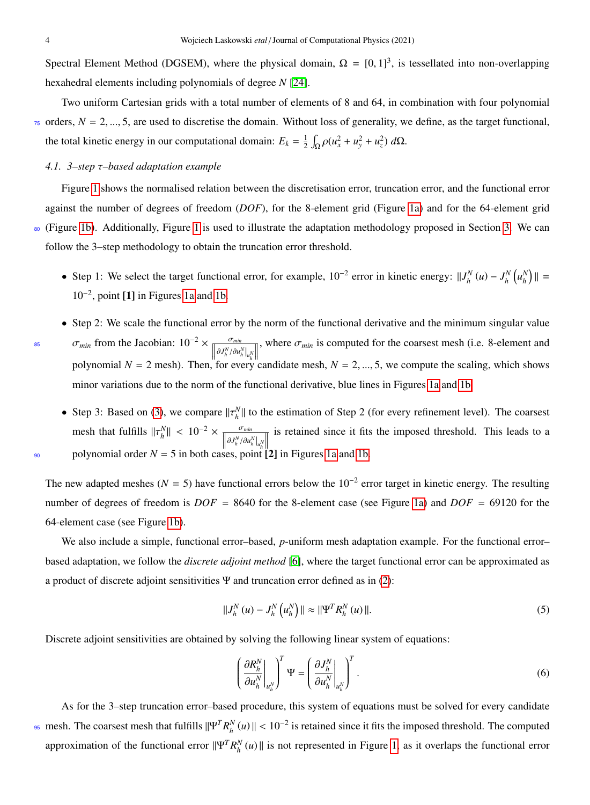Spectral Element Method (DGSEM), where the physical domain,  $\Omega = [0, 1]^3$ , is tessellated into non-overlapping hexahedral elements including polynomials of degree *N* [\[24\]](#page-7-23).

Two uniform Cartesian grids with a total number of elements of 8 and 64, in combination with four polynomial  $\tau$ <sub>5</sub> orders,  $N = 2, ..., 5$ , are used to discretise the domain. Without loss of generality, we define, as the target functional, the total kinetic energy in our computational domain:  $E_k = \frac{1}{2} \int_{\Omega} \rho (u_x^2 + u_y^2 + u_z^2) d\Omega$ .

# <span id="page-3-2"></span>*4.1. 3–step* τ*–based adaptation example*

Figure [1](#page-4-0) shows the normalised relation between the discretisation error, truncation error, and the functional error against the number of degrees of freedom (*DOF*), for the 8-element grid (Figure [1a\)](#page-4-0) and for the 64-element grid <sup>80</sup> (Figure [1b\)](#page-4-0). Additionally, Figure [1](#page-4-0) is used to illustrate the adaptation methodology proposed in Section [3.](#page-2-0) We can follow the 3–step methodology to obtain the truncation error threshold.

- Step 1: We select the target functional error, for example,  $10^{-2}$  error in kinetic energy:  $||J_h^N(u) J_h^N(u_h^N)|| =$ 10<sup>−</sup><sup>2</sup> , point [1] in Figures [1a](#page-4-0) and [1b.](#page-4-0)
- Step 2: We scale the functional error by the norm of the functional derivative and the minimum singular value  $\sigma_{min}$  from the Jacobian:  $10^{-2} \times \frac{\sigma_{min}}{\left|\partial J_h^N/\partial u_h^N\right|_{u_h^N}}\right|$ , where  $\sigma_{min}$  is computed for the coarsest mesh (i.e. 8-element and polynomial  $N = 2$  mesh). Then, for every candidate mesh,  $N = 2, ..., 5$ , we compute the scaling, which shows | minor variations due to the norm of the functional derivative, blue lines in Figures [1a](#page-4-0) and [1b.](#page-4-0)
- Step 3: Based on [\(3\)](#page-2-2), we compare  $||\tau_h^N||$  to the estimation of Step 2 (for every refinement level). The coarsest mesh that fulfills  $||\tau_h^N|| < 10^{-2} \times \frac{\sigma_{min}}{||\partial J_h^N / \partial u_h^N||_{\mu_h^N}}$ <sup>90</sup> polynomial order  $N = 5$  in both cases, point [2] in Figures [1a](#page-4-0) and [1b.](#page-4-0) | is retained since it fits the imposed threshold. This leads to a

The new adapted meshes ( $N = 5$ ) have functional errors below the 10<sup>-2</sup> error target in kinetic energy. The resulting number of degrees of freedom is  $DOF = 8640$  for the 8-element case (see Figure [1a\)](#page-4-0) and  $DOF = 69120$  for the 64-element case (see Figure [1b\)](#page-4-0).

We also include a simple, functional error–based, *p*-uniform mesh adaptation example. For the functional error– based adaptation, we follow the *discrete adjoint method* [\[6\]](#page-7-5), where the target functional error can be approximated as a product of discrete adjoint sensitivities  $\Psi$  and truncation error defined as in [\(2\)](#page-1-2):

<span id="page-3-0"></span>
$$
||J_h^N(u) - J_h^N(u_h^N)|| \approx ||\Psi^T R_h^N(u)||. \tag{5}
$$

Discrete adjoint sensitivities are obtained by solving the following linear system of equations:

<span id="page-3-1"></span>
$$
\left(\frac{\partial R_h^N}{\partial u_h^N}\bigg|_{u_h^N}\right)^T \Psi = \left(\frac{\partial J_h^N}{\partial u_h^N}\bigg|_{u_h^N}\right)^T.
$$
\n(6)

As for the 3–step truncation error–based procedure, this system of equations must be solved for every candidate <sup>95</sup> mesh. The coarsest mesh that fulfills  $\|\Psi^T R_h^N(u)\| < 10^{-2}$  is retained since it fits the imposed threshold. The computed approximation of the functional error  $\|\Psi^T R_h^N(u)\|$  is not represented in Figure [1,](#page-4-0) as it overlaps the functional error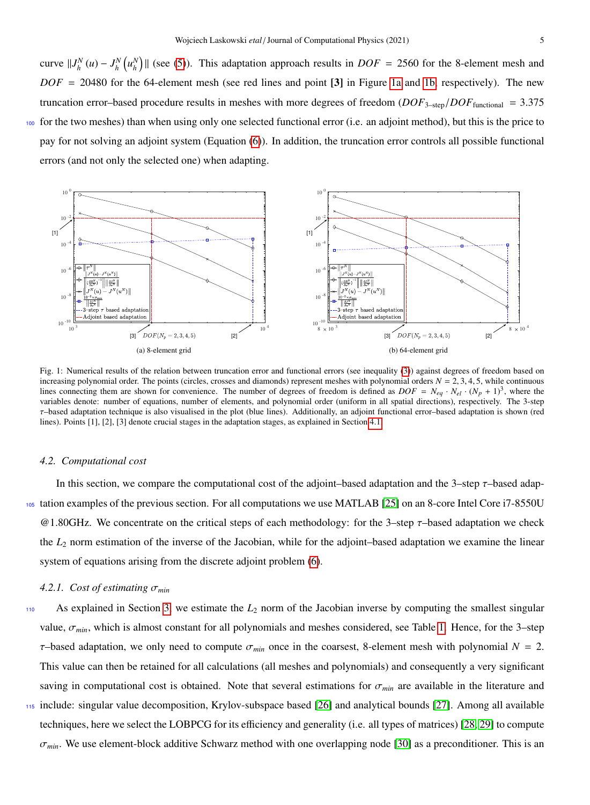curve  $||J_h^N(u) - J_h^N(u_h^N)||$  (see [\(5\)](#page-3-0)). This adaptation approach results in *DOF* = 2560 for the 8-element mesh and  $DOF = 20480$  for the 64-element mesh (see red lines and point [3] in Figure [1a](#page-4-0) and [1b,](#page-4-0) respectively). The new truncation error–based procedure results in meshes with more degrees of freedom  $(DOF_{3-sten}/DOF_{\text{functional}} = 3.375$ <sup>100</sup> for the two meshes) than when using only one selected functional error (i.e. an adjoint method), but this is the price to pay for not solving an adjoint system (Equation [\(6\)](#page-3-1)). In addition, the truncation error controls all possible functional errors (and not only the selected one) when adapting.

<span id="page-4-0"></span>

Fig. 1: Numerical results of the relation between truncation error and functional errors (see inequality [\(3\)](#page-2-2)) against degrees of freedom based on increasing polynomial order. The points (circles, crosses and diamonds) represent meshes with polynomial orders  $N = 2, 3, 4, 5$ , while continuous lines connecting them are shown for convenience. The number of degrees of freedom is defined as  $DOF = N_{eq} \cdot N_{el} \cdot (N_p + 1)^3$ , where the variables denote: number of equations, number of elements, and polynomial order (uniform in all spatial directions), respectively. The 3-step τ–based adaptation technique is also visualised in the plot (blue lines). Additionally, an adjoint functional error–based adaptation is shown (red lines). Points [1], [2], [3] denote crucial stages in the adaptation stages, as explained in Section [4.1.](#page-3-2)

#### *4.2. Computational cost*

In this section, we compare the computational cost of the adjoint–based adaptation and the 3–step  $\tau$ –based adap-<sup>105</sup> tation examples of the previous section. For all computations we use MATLAB [\[25\]](#page-7-24) on an 8-core Intel Core i7-8550U  $@1.80GHz$ . We concentrate on the critical steps of each methodology: for the 3–step  $\tau$ –based adaptation we check the *L*<sup>2</sup> norm estimation of the inverse of the Jacobian, while for the adjoint–based adaptation we examine the linear system of equations arising from the discrete adjoint problem [\(6\)](#page-3-1).

# <span id="page-4-1"></span>*4.2.1. Cost of estimating* <sup>σ</sup>*min*

- 110 As explained in Section [3,](#page-2-0) we estimate the  $L_2$  norm of the Jacobian inverse by computing the smallest singular value, σ*min*, which is almost constant for all polynomials and meshes considered, see Table [1.](#page-5-0) Hence, for the 3–step <sup>τ</sup>–based adaptation, we only need to compute <sup>σ</sup>*min* once in the coarsest, 8-element mesh with polynomial *<sup>N</sup>* <sup>=</sup> 2. This value can then be retained for all calculations (all meshes and polynomials) and consequently a very significant saving in computational cost is obtained. Note that several estimations for  $\sigma_{min}$  are available in the literature and <sup>115</sup> include: singular value decomposition, Krylov-subspace based [\[26\]](#page-7-25) and analytical bounds [\[27\]](#page-7-26). Among all available techniques, here we select the LOBPCG for its efficiency and generality (i.e. all types of matrices) [\[28,](#page-7-27) [29\]](#page-7-28) to compute
	- $\sigma_{min}$ . We use element-block additive Schwarz method with one overlapping node [\[30\]](#page-7-29) as a preconditioner. This is an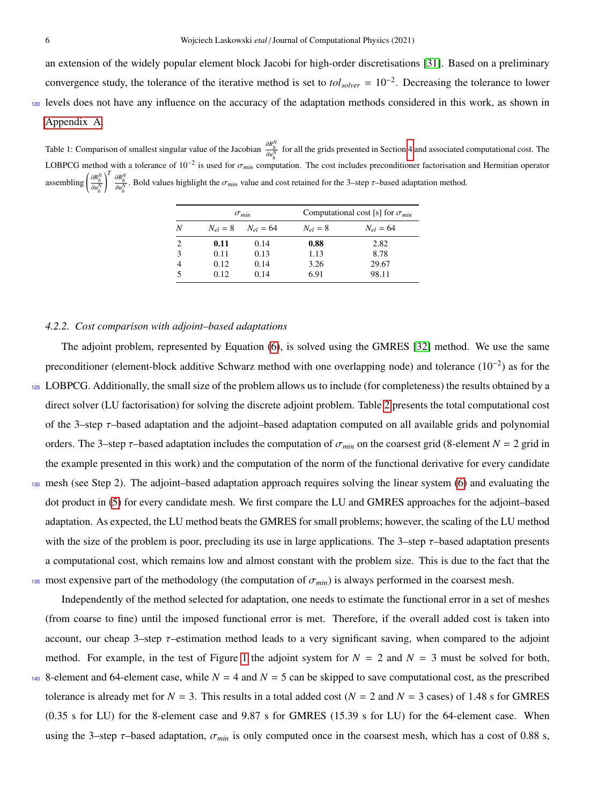an extension of the widely popular element block Jacobi for high-order discretisations [\[31\]](#page-8-0). Based on a preliminary convergence study, the tolerance of the iterative method is set to *tolsolver* = 10−<sup>2</sup> . Decreasing the tolerance to lower <sup>120</sup> levels does not have any influence on the accuracy of the adaptation methods considered in this work, as shown in [Appendix A.](#page-8-1)

<span id="page-5-0"></span>Table 1: Comparison of smallest singular value of the Jacobian  $\frac{\partial R_h^N}{\partial u_h^N}$  for all the grids presented in Section [4](#page-2-1) and associated computational cost. The LOBPCG method with a tolerance of  $10^{-2}$  is used for  $\sigma_{min}$  computation. The cost includes preconditioner factorisation and Hermitian operator assembling  $\left(\frac{\partial R_h^N}{\partial u_h^N}\right)^T \frac{\partial R_h^N}{\partial u_h^N}$ . Bold values highlight the  $\sigma_{min}$  value and cost retained for the 3–step  $\tau$ –based adaptation method. *h h*

|                | $\sigma_{min}$ |                            | Computational cost [s] for $\sigma_{min}$ |               |  |
|----------------|----------------|----------------------------|-------------------------------------------|---------------|--|
| Ν              |                | $N_{el} = 8$ $N_{el} = 64$ | $N_{el} = 8$                              | $N_{el} = 64$ |  |
| $\overline{c}$ | 0.11           | 0.14                       | 0.88                                      | 2.82          |  |
| 3              | 0.11           | 0.13                       | 1.13                                      | 8.78          |  |
| 4              | 0.12           | 0.14                       | 3.26                                      | 29.67         |  |
| 5              | 0.12           | 0.14                       | 6.91                                      | 98.11         |  |

#### *4.2.2. Cost comparison with adjoint–based adaptations*

The adjoint problem, represented by Equation [\(6\)](#page-3-1), is solved using the GMRES [\[32\]](#page-8-2) method. We use the same preconditioner (element-block additive Schwarz method with one overlapping node) and tolerance  $(10^{-2})$  as for the

- <sup>125</sup> LOBPCG. Additionally, the small size of the problem allows us to include (for completeness) the results obtained by a direct solver (LU factorisation) for solving the discrete adjoint problem. Table [2](#page-6-1) presents the total computational cost of the 3–step  $\tau$ –based adaptation and the adjoint–based adaptation computed on all available grids and polynomial orders. The 3–step  $\tau$ –based adaptation includes the computation of  $\sigma_{min}$  on the coarsest grid (8-element  $N = 2$  grid in the example presented in this work) and the computation of the norm of the functional derivative for every candidate
- <sup>130</sup> mesh (see Step 2). The adjoint–based adaptation approach requires solving the linear system [\(6\)](#page-3-1) and evaluating the dot product in [\(5\)](#page-3-0) for every candidate mesh. We first compare the LU and GMRES approaches for the adjoint–based adaptation. As expected, the LU method beats the GMRES for small problems; however, the scaling of the LU method with the size of the problem is poor, precluding its use in large applications. The 3–step  $\tau$ –based adaptation presents a computational cost, which remains low and almost constant with the problem size. This is due to the fact that the 135 most expensive part of the methodology (the computation of  $\sigma_{min}$ ) is always performed in the coarsest mesh.

Independently of the method selected for adaptation, one needs to estimate the functional error in a set of meshes (from coarse to fine) until the imposed functional error is met. Therefore, if the overall added cost is taken into account, our cheap 3–step τ–estimation method leads to a very significant saving, when compared to the adjoint method. For example, in the test of Figure [1](#page-4-0) the adjoint system for  $N = 2$  and  $N = 3$  must be solved for both, 140 8-element and 64-element case, while  $N = 4$  and  $N = 5$  can be skipped to save computational cost, as the prescribed tolerance is already met for  $N = 3$ . This results in a total added cost  $(N = 2$  and  $N = 3$  cases) of 1.48 s for GMRES (0.35 s for LU) for the 8-element case and 9.87 s for GMRES (15.39 s for LU) for the 64-element case. When using the 3–step <sup>τ</sup>–based adaptation, <sup>σ</sup>*min* is only computed once in the coarsest mesh, which has a cost of 0.88 s,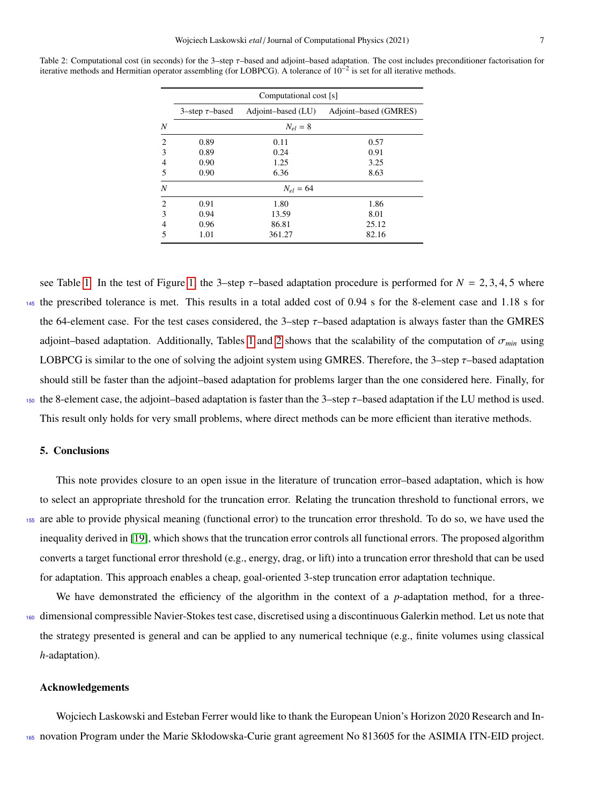|                | Computational cost [s] |                    |                       |  |  |  |  |
|----------------|------------------------|--------------------|-----------------------|--|--|--|--|
|                | 3-step $\tau$ -based   | Adjoint-based (LU) | Adjoint-based (GMRES) |  |  |  |  |
| N              | $N_{el} = 8$           |                    |                       |  |  |  |  |
| $\overline{c}$ | 0.89                   | 0.11               | 0.57                  |  |  |  |  |
| 3              | 0.89                   | 0.24               | 0.91                  |  |  |  |  |
| 4              | 0.90                   | 1.25               | 3.25                  |  |  |  |  |
| 5              | 0.90                   | 6.36               | 8.63                  |  |  |  |  |
| $\overline{N}$ | $N_{el} = 64$          |                    |                       |  |  |  |  |
| $\overline{c}$ | 0.91                   | 1.80               | 1.86                  |  |  |  |  |
| 3              | 0.94                   | 13.59              | 8.01                  |  |  |  |  |
| 4              | 0.96                   | 86.81              | 25.12                 |  |  |  |  |
| 5              | 1.01                   | 361.27             | 82.16                 |  |  |  |  |

<span id="page-6-1"></span>Table 2: Computational cost (in seconds) for the 3–step τ–based and adjoint–based adaptation. The cost includes preconditioner factorisation for iterative methods and Hermitian operator assembling (for LOBPCG). A tolerance of 10−<sup>2</sup> is set for all iterative methods.

see Table [1.](#page-5-0) In the test of Figure [1,](#page-4-0) the 3–step  $\tau$ –based adaptation procedure is performed for  $N = 2, 3, 4, 5$  where <sup>145</sup> the prescribed tolerance is met. This results in a total added cost of 0.94 s for the 8-element case and 1.18 s for the 64-element case. For the test cases considered, the 3–step  $\tau$ –based adaptation is always faster than the GMRES adjoint–based adaptation. Additionally, Tables [1](#page-5-0) and [2](#page-6-1) shows that the scalability of the computation of <sup>σ</sup>*min* using LOBPCG is similar to the one of solving the adjoint system using GMRES. Therefore, the 3–step  $\tau$ –based adaptation should still be faster than the adjoint–based adaptation for problems larger than the one considered here. Finally, for 150 the 8-element case, the adjoint–based adaptation is faster than the 3–step  $\tau$ –based adaptation if the LU method is used. This result only holds for very small problems, where direct methods can be more efficient than iterative methods.

## <span id="page-6-0"></span>5. Conclusions

This note provides closure to an open issue in the literature of truncation error–based adaptation, which is how to select an appropriate threshold for the truncation error. Relating the truncation threshold to functional errors, we <sup>155</sup> are able to provide physical meaning (functional error) to the truncation error threshold. To do so, we have used the inequality derived in [\[19\]](#page-7-18), which shows that the truncation error controls all functional errors. The proposed algorithm converts a target functional error threshold (e.g., energy, drag, or lift) into a truncation error threshold that can be used for adaptation. This approach enables a cheap, goal-oriented 3-step truncation error adaptation technique.

We have demonstrated the efficiency of the algorithm in the context of a *p*-adaptation method, for a three-<sup>160</sup> dimensional compressible Navier-Stokes test case, discretised using a discontinuous Galerkin method. Let us note that the strategy presented is general and can be applied to any numerical technique (e.g., finite volumes using classical *h*-adaptation).

### Acknowledgements

Wojciech Laskowski and Esteban Ferrer would like to thank the European Union's Horizon 2020 Research and In-<sup>165</sup> novation Program under the Marie Skłodowska-Curie grant agreement No 813605 for the ASIMIA ITN-EID project.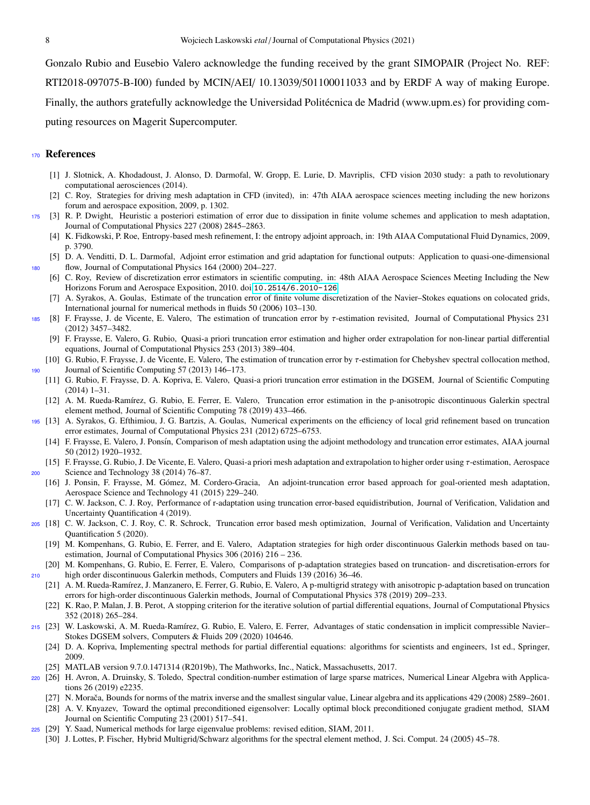Gonzalo Rubio and Eusebio Valero acknowledge the funding received by the grant SIMOPAIR (Project No. REF: RTI2018-097075-B-I00) funded by MCIN/AEI/ 10.13039/501100011033 and by ERDF A way of making Europe. Finally, the authors gratefully acknowledge the Universidad Politécnica de Madrid (www.upm.es) for providing computing resources on Magerit Supercomputer.

## <sup>170</sup> References

- <span id="page-7-0"></span>[1] J. Slotnick, A. Khodadoust, J. Alonso, D. Darmofal, W. Gropp, E. Lurie, D. Mavriplis, CFD vision 2030 study: a path to revolutionary computational aerosciences (2014).
- <span id="page-7-2"></span><span id="page-7-1"></span>[2] C. Roy, Strategies for driving mesh adaptation in CFD (invited), in: 47th AIAA aerospace sciences meeting including the new horizons forum and aerospace exposition, 2009, p. 1302.
- <span id="page-7-3"></span><sup>175</sup> [3] R. P. Dwight, Heuristic a posteriori estimation of error due to dissipation in finite volume schemes and application to mesh adaptation, Journal of Computational Physics 227 (2008) 2845–2863.
	- [4] K. Fidkowski, P. Roe, Entropy-based mesh refinement, I: the entropy adjoint approach, in: 19th AIAA Computational Fluid Dynamics, 2009, p. 3790.
- <span id="page-7-6"></span><span id="page-7-5"></span><span id="page-7-4"></span>[5] D. A. Venditti, D. L. Darmofal, Adjoint error estimation and grid adaptation for functional outputs: Application to quasi-one-dimensional <sup>180</sup> flow, Journal of Computational Physics 164 (2000) 204–227.
	- [6] C. Roy, Review of discretization error estimators in scientific computing, in: 48th AIAA Aerospace Sciences Meeting Including the New Horizons Forum and Aerospace Exposition, 2010. doi:[10.2514/6.2010-126](http://dx.doi.org/10.2514/6.2010-126).
	- [7] A. Syrakos, A. Goulas, Estimate of the truncation error of finite volume discretization of the Navier–Stokes equations on colocated grids, International journal for numerical methods in fluids 50 (2006) 103–130.
	- <sup>185</sup> [8] F. Fraysse, J. de Vicente, E. Valero, The estimation of truncation error by τ-estimation revisited, Journal of Computational Physics 231 (2012) 3457–3482.
		- [9] F. Fraysse, E. Valero, G. Rubio, Quasi-a priori truncation error estimation and higher order extrapolation for non-linear partial differential equations, Journal of Computational Physics 253 (2013) 389–404.
- <span id="page-7-10"></span><span id="page-7-9"></span><span id="page-7-8"></span><span id="page-7-7"></span>[10] G. Rubio, F. Fraysse, J. de Vicente, E. Valero, The estimation of truncation error by τ-estimation for Chebyshev spectral collocation method, <sup>190</sup> Journal of Scientific Computing 57 (2013) 146–173.
	- [11] G. Rubio, F. Fraysse, D. A. Kopriva, E. Valero, Quasi-a priori truncation error estimation in the DGSEM, Journal of Scientific Computing (2014) 1–31.
	- [12] A. M. Rueda-Ramírez, G. Rubio, E. Ferrer, E. Valero, Truncation error estimation in the p-anisotropic discontinuous Galerkin spectral element method, Journal of Scientific Computing 78 (2019) 433–466.
- <span id="page-7-13"></span><span id="page-7-12"></span><span id="page-7-11"></span><sup>195</sup> [13] A. Syrakos, G. Efthimiou, J. G. Bartzis, A. Goulas, Numerical experiments on the efficiency of local grid refinement based on truncation error estimates, Journal of Computational Physics 231 (2012) 6725–6753.
	- [14] F. Fraysse, E. Valero, J. Ponsín, Comparison of mesh adaptation using the adjoint methodology and truncation error estimates, AIAA journal 50 (2012) 1920–1932.
- <span id="page-7-15"></span><span id="page-7-14"></span>[15] F. Fraysse, G. Rubio, J. De Vicente, E. Valero, Quasi-a priori mesh adaptation and extrapolation to higher order using τ-estimation, Aerospace <sup>200</sup> Science and Technology 38 (2014) 76–87.
	- [16] J. Ponsin, F. Fraysse, M. Gómez, M. Cordero-Gracia, An adjoint-truncation error based approach for goal-oriented mesh adaptation, Aerospace Science and Technology 41 (2015) 229–240.
	- [17] C. W. Jackson, C. J. Roy, Performance of r-adaptation using truncation error-based equidistribution, Journal of Verification, Validation and Uncertainty Quantification 4 (2019).
- <span id="page-7-18"></span><span id="page-7-17"></span><span id="page-7-16"></span><sup>205</sup> [18] C. W. Jackson, C. J. Roy, C. R. Schrock, Truncation error based mesh optimization, Journal of Verification, Validation and Uncertainty Quantification 5 (2020).
	- [19] M. Kompenhans, G. Rubio, E. Ferrer, and E. Valero, Adaptation strategies for high order discontinuous Galerkin methods based on tauestimation, Journal of Computational Physics 306 (2016) 216 – 236.
- <span id="page-7-20"></span><span id="page-7-19"></span>[20] M. Kompenhans, G. Rubio, E. Ferrer, E. Valero, Comparisons of p-adaptation strategies based on truncation- and discretisation-errors for <sup>210</sup> high order discontinuous Galerkin methods, Computers and Fluids 139 (2016) 36–46.
	- [21] A. M. Rueda-Ramírez, J. Manzanero, E. Ferrer, G. Rubio, E. Valero, A p-multigrid strategy with anisotropic p-adaptation based on truncation errors for high-order discontinuous Galerkin methods, Journal of Computational Physics 378 (2019) 209–233.
	- [22] K. Rao, P. Malan, J. B. Perot, A stopping criterion for the iterative solution of partial differential equations, Journal of Computational Physics 352 (2018) 265–284.
- <span id="page-7-23"></span><span id="page-7-22"></span><span id="page-7-21"></span>215 [23] W. Laskowski, A. M. Rueda-Ramírez, G. Rubio, E. Valero, E. Ferrer, Advantages of static condensation in implicit compressible Navier– Stokes DGSEM solvers, Computers & Fluids 209 (2020) 104646.
	- [24] D. A. Kopriva, Implementing spectral methods for partial differential equations: algorithms for scientists and engineers, 1st ed., Springer, 2009.
	- [25] MATLAB version 9.7.0.1471314 (R2019b), The Mathworks, Inc., Natick, Massachusetts, 2017.
- <span id="page-7-29"></span><span id="page-7-28"></span><span id="page-7-27"></span><span id="page-7-26"></span><span id="page-7-25"></span><span id="page-7-24"></span><sup>220</sup> [26] H. Avron, A. Druinsky, S. Toledo, Spectral condition-number estimation of large sparse matrices, Numerical Linear Algebra with Applications 26 (2019) e2235.
	- [27] N. Morača, Bounds for norms of the matrix inverse and the smallest singular value, Linear algebra and its applications 429 (2008) 2589–2601.
	- [28] A. V. Knyazev, Toward the optimal preconditioned eigensolver: Locally optimal block preconditioned conjugate gradient method, SIAM Journal on Scientific Computing 23 (2001) 517–541.
	- [29] Y. Saad, Numerical methods for large eigenvalue problems: revised edition, SIAM, 2011.
	- [30] J. Lottes, P. Fischer, Hybrid Multigrid/Schwarz algorithms for the spectral element method, J. Sci. Comput. 24 (2005) 45–78.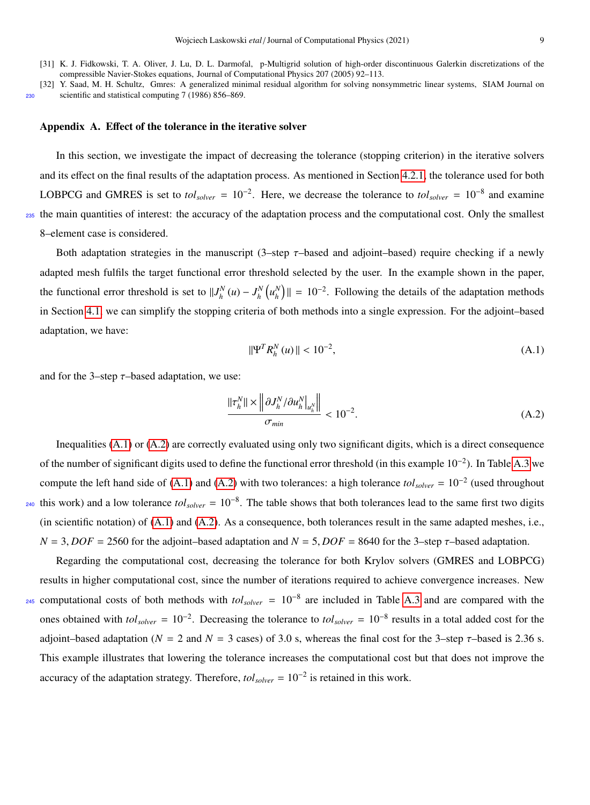- <span id="page-8-0"></span>[31] K. J. Fidkowski, T. A. Oliver, J. Lu, D. L. Darmofal, p-Multigrid solution of high-order discontinuous Galerkin discretizations of the compressible Navier-Stokes equations, Journal of Computational Physics 207 (2005) 92–113.
- <span id="page-8-2"></span>[32] Y. Saad, M. H. Schultz, Gmres: A generalized minimal residual algorithm for solving nonsymmetric linear systems, SIAM Journal on <sup>230</sup> scientific and statistical computing 7 (1986) 856–869.

### <span id="page-8-1"></span>Appendix A. Effect of the tolerance in the iterative solver

In this section, we investigate the impact of decreasing the tolerance (stopping criterion) in the iterative solvers and its effect on the final results of the adaptation process. As mentioned in Section [4.2.1,](#page-4-1) the tolerance used for both LOBPCG and GMRES is set to *tol<sub>solver</sub>* =  $10^{-2}$ . Here, we decrease the tolerance to *tol<sub>solver</sub>* =  $10^{-8}$  and examine <sup>235</sup> the main quantities of interest: the accuracy of the adaptation process and the computational cost. Only the smallest 8–element case is considered.

Both adaptation strategies in the manuscript (3–step  $\tau$ –based and adjoint–based) require checking if a newly adapted mesh fulfils the target functional error threshold selected by the user. In the example shown in the paper, the functional error threshold is set to  $||J_h^N(u) - J_h^N(u_h^N)|| = 10^{-2}$ . Following the details of the adaptation methods in Section [4.1,](#page-3-2) we can simplify the stopping criteria of both methods into a single expression. For the adjoint–based adaptation, we have:

<span id="page-8-3"></span>
$$
\|\Psi^T R_h^N(u)\| < 10^{-2},\tag{A.1}
$$

and for the 3-step  $\tau$ -based adaptation, we use:

<span id="page-8-4"></span>
$$
\frac{\|\tau_h^N\| \times \left\|\partial J_h^N / \partial u_h^N\right\|_{u_h^N}}{\sigma_{min}} < 10^{-2}.\tag{A.2}
$$

Inequalities [\(A.1\)](#page-8-3) or [\(A.2\)](#page-8-4) are correctly evaluated using only two significant digits, which is a direct consequence of the number of significant digits used to define the functional error threshold (in this example  $10^{-2}$ ). In Table [A.3](#page-9-0) we compute the left hand side of  $(A.1)$  and  $(A.2)$  with two tolerances: a high tolerance  $tol_{solver} = 10^{-2}$  (used throughout  $_{240}$  this work) and a low tolerance  $tol_{solver} = 10^{-8}$ . The table shows that both tolerances lead to the same first two digits (in scientific notation) of [\(A.1\)](#page-8-3) and [\(A.2\)](#page-8-4). As a consequence, both tolerances result in the same adapted meshes, i.e.,  $N = 3$ , *DOF* = 2560 for the adjoint–based adaptation and  $N = 5$ , *DOF* = 8640 for the 3–step  $\tau$ –based adaptation.

Regarding the computational cost, decreasing the tolerance for both Krylov solvers (GMRES and LOBPCG) results in higher computational cost, since the number of iterations required to achieve convergence increases. New  $_{245}$  computational costs of both methods with  $tol_{solver} = 10^{-8}$  are included in Table [A.3](#page-9-0) and are compared with the ones obtained with  $tol_{solver} = 10^{-2}$ . Decreasing the tolerance to  $tol_{solver} = 10^{-8}$  results in a total added cost for the adjoint–based adaptation ( $N = 2$  and  $N = 3$  cases) of 3.0 s, whereas the final cost for the 3–step  $\tau$ –based is 2.36 s. This example illustrates that lowering the tolerance increases the computational cost but that does not improve the accuracy of the adaptation strategy. Therefore, *tolsolver* = 10<sup>−</sup><sup>2</sup> is retained in this work.